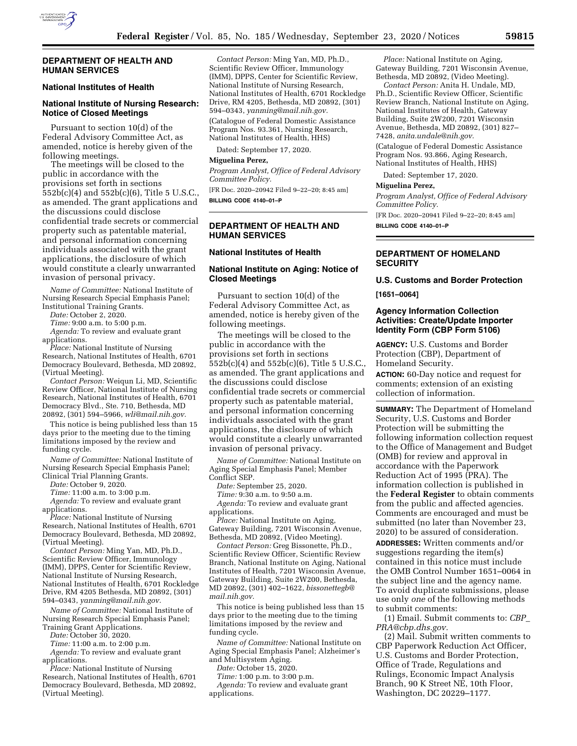

### **DEPARTMENT OF HEALTH AND HUMAN SERVICES**

# **National Institutes of Health**

# **National Institute of Nursing Research: Notice of Closed Meetings**

Pursuant to section 10(d) of the Federal Advisory Committee Act, as amended, notice is hereby given of the following meetings.

The meetings will be closed to the public in accordance with the provisions set forth in sections 552b(c)(4) and 552b(c)(6), Title 5 U.S.C., as amended. The grant applications and the discussions could disclose confidential trade secrets or commercial property such as patentable material, and personal information concerning individuals associated with the grant applications, the disclosure of which would constitute a clearly unwarranted invasion of personal privacy.

*Name of Committee:* National Institute of Nursing Research Special Emphasis Panel; Institutional Training Grants.

*Date:* October 2, 2020.

*Time:* 9:00 a.m. to 5:00 p.m. *Agenda:* To review and evaluate grant

applications.

*Place:* National Institute of Nursing Research, National Institutes of Health, 6701 Democracy Boulevard, Bethesda, MD 20892, (Virtual Meeting).

*Contact Person:* Weiqun Li, MD, Scientific Review Officer, National Institute of Nursing Research, National Institutes of Health, 6701 Democracy Blvd., Ste. 710, Bethesda, MD 20892, (301) 594–5966, *[wli@mail.nih.gov.](mailto:wli@mail.nih.gov)* 

This notice is being published less than 15 days prior to the meeting due to the timing limitations imposed by the review and funding cycle.

*Name of Committee:* National Institute of Nursing Research Special Emphasis Panel; Clinical Trial Planning Grants.

*Date:* October 9, 2020.

*Time:* 11:00 a.m. to 3:00 p.m.

*Agenda:* To review and evaluate grant applications.

*Place:* National Institute of Nursing Research, National Institutes of Health, 6701 Democracy Boulevard, Bethesda, MD 20892, (Virtual Meeting).

*Contact Person:* Ming Yan, MD, Ph.D., Scientific Review Officer, Immunology (IMM), DPPS, Center for Scientific Review, National Institute of Nursing Research, National Institutes of Health, 6701 Rockledge Drive, RM 4205 Bethesda, MD 20892, (301) 594–0343, *[yanming@mail.nih.gov.](mailto:yanming@mail.nih.gov)* 

*Name of Committee:* National Institute of Nursing Research Special Emphasis Panel; Training Grant Applications.

*Date:* October 30, 2020.

*Time:* 11:00 a.m. to 2:00 p.m.

*Agenda:* To review and evaluate grant applications.

*Place:* National Institute of Nursing Research, National Institutes of Health, 6701 Democracy Boulevard, Bethesda, MD 20892, (Virtual Meeting).

*Contact Person:* Ming Yan, MD, Ph.D., Scientific Review Officer, Immunology (IMM), DPPS, Center for Scientific Review, National Institute of Nursing Research, National Institutes of Health, 6701 Rockledge Drive, RM 4205, Bethesda, MD 20892, (301) 594–0343, *[yanming@mail.nih.gov.](mailto:yanming@mail.nih.gov)* 

(Catalogue of Federal Domestic Assistance Program Nos. 93.361, Nursing Research, National Institutes of Health, HHS)

Dated: September 17, 2020.

#### **Miguelina Perez,**

*Program Analyst, Office of Federal Advisory Committee Policy.* 

[FR Doc. 2020–20942 Filed 9–22–20; 8:45 am] **BILLING CODE 4140–01–P** 

### **DEPARTMENT OF HEALTH AND HUMAN SERVICES**

#### **National Institutes of Health**

### **National Institute on Aging: Notice of Closed Meetings**

Pursuant to section 10(d) of the Federal Advisory Committee Act, as amended, notice is hereby given of the following meetings.

The meetings will be closed to the public in accordance with the provisions set forth in sections 552b(c)(4) and 552b(c)(6), Title 5 U.S.C., as amended. The grant applications and the discussions could disclose confidential trade secrets or commercial property such as patentable material, and personal information concerning individuals associated with the grant applications, the disclosure of which would constitute a clearly unwarranted invasion of personal privacy.

*Name of Committee:* National Institute on Aging Special Emphasis Panel; Member Conflict SEP.

*Date:* September 25, 2020.

*Time:* 9:30 a.m. to 9:50 a.m.

*Agenda:* To review and evaluate grant applications.

*Place:* National Institute on Aging, Gateway Building, 7201 Wisconsin Avenue, Bethesda, MD 20892, (Video Meeting).

*Contact Person:* Greg Bissonette, Ph.D., Scientific Review Officer, Scientific Review Branch, National Institute on Aging, National Institutes of Health, 7201 Wisconsin Avenue, Gateway Building, Suite 2W200, Bethesda, MD 20892, (301) 402–1622, *[bissonettegb@](mailto:bissonettegb@mail.nih.gov) [mail.nih.gov.](mailto:bissonettegb@mail.nih.gov)* 

This notice is being published less than 15 days prior to the meeting due to the timing limitations imposed by the review and funding cycle.

*Name of Committee:* National Institute on Aging Special Emphasis Panel; Alzheimer's and Multisystem Aging.

*Date:* October 15, 2020.

*Time:* 1:00 p.m. to 3:00 p.m.

*Agenda:* To review and evaluate grant applications.

*Place:* National Institute on Aging, Gateway Building, 7201 Wisconsin Avenue, Bethesda, MD 20892, (Video Meeting).

*Contact Person:* Anita H. Undale, MD, Ph.D., Scientific Review Officer, Scientific Review Branch, National Institute on Aging, National Institutes of Health, Gateway Building, Suite 2W200, 7201 Wisconsin Avenue, Bethesda, MD 20892, (301) 827– 7428, *[anita.undale@nih.gov.](mailto:anita.undale@nih.gov)* 

(Catalogue of Federal Domestic Assistance Program Nos. 93.866, Aging Research, National Institutes of Health, HHS)

Dated: September 17, 2020.

#### **Miguelina Perez,**

*Program Analyst, Office of Federal Advisory Committee Policy.* 

[FR Doc. 2020–20941 Filed 9–22–20; 8:45 am]

**BILLING CODE 4140–01–P** 

## **DEPARTMENT OF HOMELAND SECURITY**

**U.S. Customs and Border Protection [1651–0064]** 

### **Agency Information Collection Activities: Create/Update Importer Identity Form (CBP Form 5106)**

**AGENCY:** U.S. Customs and Border Protection (CBP), Department of Homeland Security.

**ACTION:** 60-Day notice and request for comments; extension of an existing collection of information.

**SUMMARY:** The Department of Homeland Security, U.S. Customs and Border Protection will be submitting the following information collection request to the Office of Management and Budget (OMB) for review and approval in accordance with the Paperwork Reduction Act of 1995 (PRA). The information collection is published in the **Federal Register** to obtain comments from the public and affected agencies. Comments are encouraged and must be submitted (no later than November 23, 2020) to be assured of consideration.

**ADDRESSES:** Written comments and/or suggestions regarding the item(s) contained in this notice must include the OMB Control Number 1651–0064 in the subject line and the agency name. To avoid duplicate submissions, please use only *one* of the following methods to submit comments:

(1) Email. Submit comments to: *[CBP](mailto:CBP_PRA@cbp.dhs.gov)*\_ *[PRA@cbp.dhs.gov.](mailto:CBP_PRA@cbp.dhs.gov)* 

(2) Mail. Submit written comments to CBP Paperwork Reduction Act Officer, U.S. Customs and Border Protection, Office of Trade, Regulations and Rulings, Economic Impact Analysis Branch, 90 K Street NE, 10th Floor, Washington, DC 20229–1177.